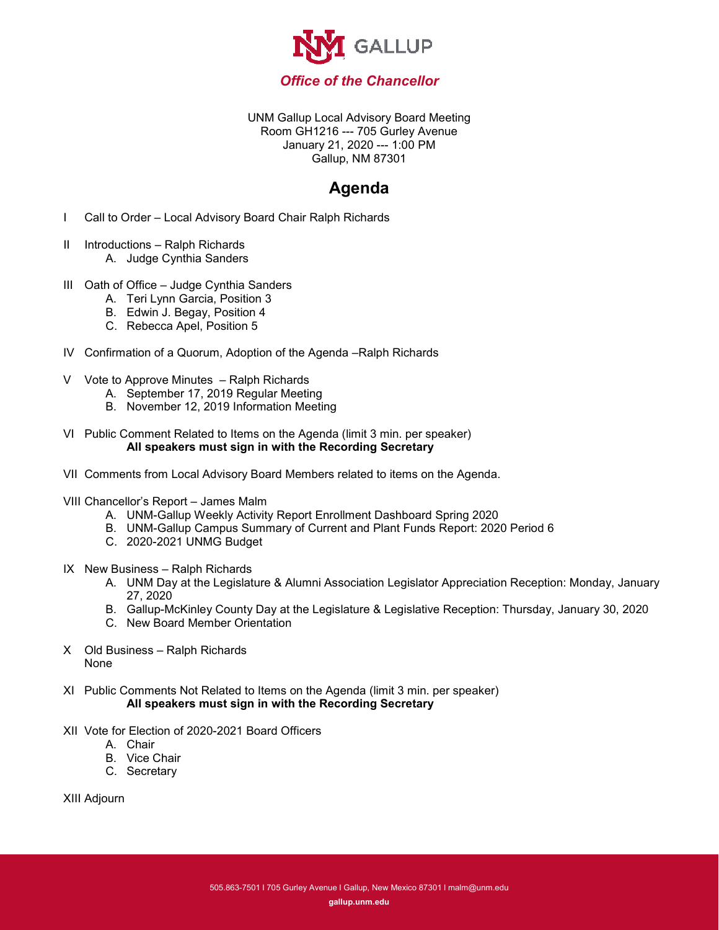

UNM Gallup Local Advisory Board Meeting Room GH1216 --- 705 Gurley Avenue January 21, 2020 --- 1:00 PM Gallup, NM 87301

## **Agenda**

- I Call to Order Local Advisory Board Chair Ralph Richards
- II Introductions Ralph Richards A. Judge Cynthia Sanders
- III Oath of Office Judge Cynthia Sanders
	- A. Teri Lynn Garcia, Position 3
	- B. Edwin J. Begay, Position 4
	- C. Rebecca Apel, Position 5
- IV Confirmation of a Quorum, Adoption of the Agenda –Ralph Richards
- V Vote to Approve Minutes Ralph Richards
	- A. September 17, 2019 Regular Meeting
	- B. November 12, 2019 Information Meeting
- VI Public Comment Related to Items on the Agenda (limit 3 min. per speaker) **All speakers must sign in with the Recording Secretary**
- VII Comments from Local Advisory Board Members related to items on the Agenda.
- VIII Chancellor's Report James Malm
	- A. UNM-Gallup Weekly Activity Report Enrollment Dashboard Spring 2020
	- B. UNM-Gallup Campus Summary of Current and Plant Funds Report: 2020 Period 6
	- C. 2020-2021 UNMG Budget
- IX New Business Ralph Richards
	- A. UNM Day at the Legislature & Alumni Association Legislator Appreciation Reception: Monday, January 27, 2020
	- B. Gallup-McKinley County Day at the Legislature & Legislative Reception: Thursday, January 30, 2020
	- C. New Board Member Orientation
- X Old Business Ralph Richards None
- XI Public Comments Not Related to Items on the Agenda (limit 3 min. per speaker) **All speakers must sign in with the Recording Secretary**
- XII Vote for Election of 2020-2021 Board Officers
	- A. Chair
	- B. Vice Chair
	- C. Secretary

XIII Adjourn